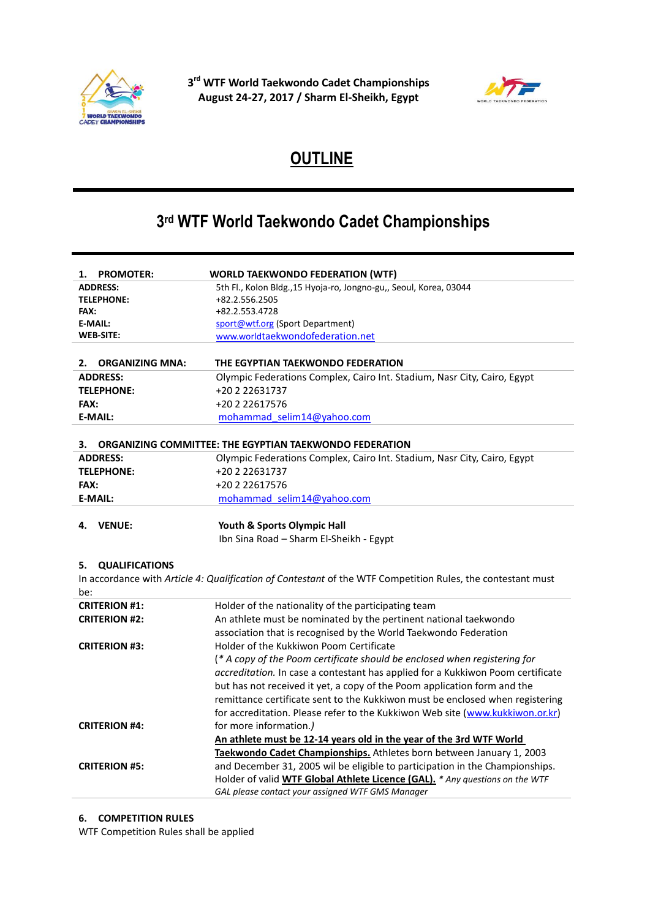



# **OUTLINE**

## **3 rd WTF World Taekwondo Cadet Championships**

| <b>PROMOTER:</b><br>1.       | <b>WORLD TAEKWONDO FEDERATION (WTF)</b>                                                                                          |
|------------------------------|----------------------------------------------------------------------------------------------------------------------------------|
| <b>ADDRESS:</b>              | 5th Fl., Kolon Bldg., 15 Hyoja-ro, Jongno-gu,, Seoul, Korea, 03044                                                               |
| <b>TELEPHONE:</b>            | +82.2.556.2505                                                                                                                   |
| <b>FAX:</b>                  | +82.2.553.4728                                                                                                                   |
| E-MAIL:                      | sport@wtf.org (Sport Department)                                                                                                 |
| <b>WEB-SITE:</b>             | www.worldtaekwondofederation.net                                                                                                 |
|                              |                                                                                                                                  |
| 2.<br><b>ORGANIZING MNA:</b> | THE EGYPTIAN TAEKWONDO FEDERATION                                                                                                |
| <b>ADDRESS:</b>              | Olympic Federations Complex, Cairo Int. Stadium, Nasr City, Cairo, Egypt                                                         |
| <b>TELEPHONE:</b>            | +20 2 22631737                                                                                                                   |
| FAX:                         | +20 2 22617576                                                                                                                   |
| <b>E-MAIL:</b>               | mohammad selim14@yahoo.com                                                                                                       |
|                              |                                                                                                                                  |
| З.                           | ORGANIZING COMMITTEE: THE EGYPTIAN TAEKWONDO FEDERATION                                                                          |
| <b>ADDRESS:</b>              | Olympic Federations Complex, Cairo Int. Stadium, Nasr City, Cairo, Egypt                                                         |
| <b>TELEPHONE:</b>            | +20 2 22631737                                                                                                                   |
| FAX:                         | +20 2 22617576                                                                                                                   |
| <b>E-MAIL:</b>               | mohammad selim14@yahoo.com                                                                                                       |
|                              |                                                                                                                                  |
| 4.<br><b>VENUE:</b>          | Youth & Sports Olympic Hall                                                                                                      |
|                              | Ibn Sina Road - Sharm El-Sheikh - Egypt                                                                                          |
|                              |                                                                                                                                  |
| <b>QUALIFICATIONS</b><br>5.  |                                                                                                                                  |
|                              | In accordance with Article 4: Qualification of Contestant of the WTF Competition Rules, the contestant must                      |
| be:                          |                                                                                                                                  |
| <b>CRITERION #1:</b>         | Holder of the nationality of the participating team                                                                              |
| <b>CRITERION #2:</b>         | An athlete must be nominated by the pertinent national taekwondo                                                                 |
|                              | association that is recognised by the World Taekwondo Federation                                                                 |
| <b>CRITERION #3:</b>         | Holder of the Kukkiwon Poom Certificate                                                                                          |
|                              | (* A copy of the Poom certificate should be enclosed when registering for                                                        |
|                              | accreditation. In case a contestant has applied for a Kukkiwon Poom certificate                                                  |
|                              | but has not received it yet, a copy of the Poom application form and the                                                         |
|                              | remittance certificate sent to the Kukkiwon must be enclosed when registering                                                    |
|                              | for accreditation. Please refer to the Kukkiwon Web site (www.kukkiwon.or.kr)                                                    |
| <b>CRITERION #4:</b>         | for more information.)                                                                                                           |
|                              |                                                                                                                                  |
|                              |                                                                                                                                  |
|                              | An athlete must be 12-14 years old in the year of the 3rd WTF World                                                              |
|                              | Taekwondo Cadet Championships. Athletes born between January 1, 2003                                                             |
| <b>CRITERION #5:</b>         | and December 31, 2005 wil be eligible to participation in the Championships.                                                     |
|                              | Holder of valid WTF Global Athlete Licence (GAL). * Any questions on the WTF<br>GAL please contact your assigned WTF GMS Manager |

#### **6. COMPETITION RULES**

WTF Competition Rules shall be applied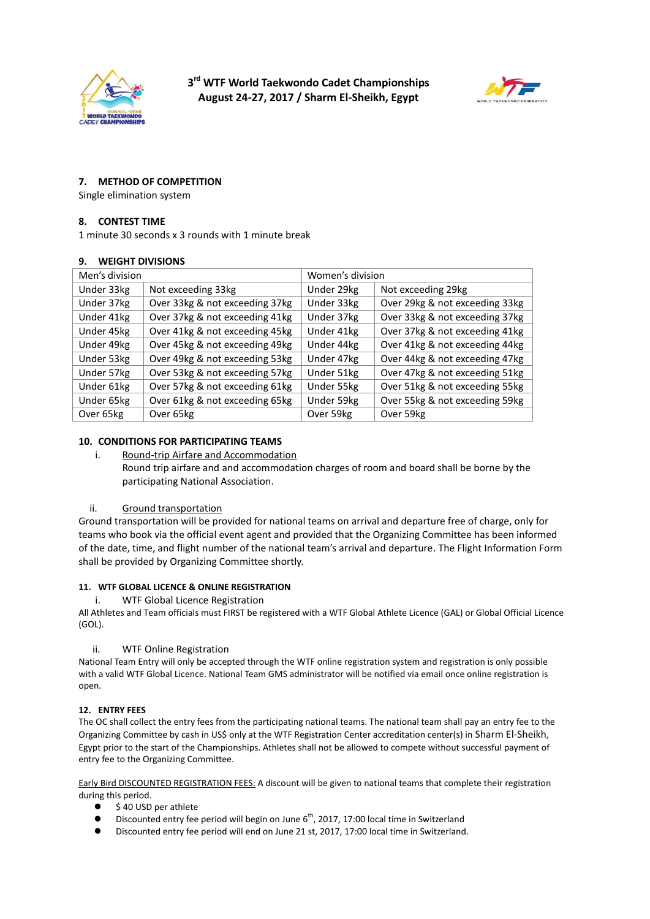



## **7. METHOD OF COMPETITION**

Single elimination system

#### **8. CONTEST TIME**

1 minute 30 seconds x 3 rounds with 1 minute break

#### **9. WEIGHT DIVISIONS**

| Men's division |                                | Women's division |                                |
|----------------|--------------------------------|------------------|--------------------------------|
| Under 33kg     | Not exceeding 33kg             | Under 29kg       | Not exceeding 29kg             |
| Under 37kg     | Over 33kg & not exceeding 37kg | Under 33kg       | Over 29kg & not exceeding 33kg |
| Under 41kg     | Over 37kg & not exceeding 41kg | Under 37kg       | Over 33kg & not exceeding 37kg |
| Under 45kg     | Over 41kg & not exceeding 45kg | Under 41kg       | Over 37kg & not exceeding 41kg |
| Under 49kg     | Over 45kg & not exceeding 49kg | Under 44kg       | Over 41kg & not exceeding 44kg |
| Under 53kg     | Over 49kg & not exceeding 53kg | Under 47kg       | Over 44kg & not exceeding 47kg |
| Under 57kg     | Over 53kg & not exceeding 57kg | Under 51kg       | Over 47kg & not exceeding 51kg |
| Under 61kg     | Over 57kg & not exceeding 61kg | Under 55kg       | Over 51kg & not exceeding 55kg |
| Under 65kg     | Over 61kg & not exceeding 65kg | Under 59kg       | Over 55kg & not exceeding 59kg |
| Over 65kg      | Over 65kg                      | Over 59kg        | Over 59kg                      |

#### **10. CONDITIONS FOR PARTICIPATING TEAMS**

i. Round-trip Airfare and Accommodation

Round trip airfare and and accommodation charges of room and board shall be borne by the participating National Association.

#### ii. Ground transportation

Ground transportation will be provided for national teams on arrival and departure free of charge, only for teams who book via the official event agent and provided that the Organizing Committee has been informed of the date, time, and flight number of the national team's arrival and departure. The Flight Information Form shall be provided by Organizing Committee shortly.

#### **11. WTF GLOBAL LICENCE & ONLINE REGISTRATION**

i. WTF Global Licence Registration

All Athletes and Team officials must FIRST be registered with a WTF Global Athlete Licence (GAL) or Global Official Licence (GOL).

#### ii. WTF Online Registration

National Team Entry will only be accepted through the WTF online registration system and registration is only possible with a valid WTF Global Licence. National Team GMS administrator will be notified via email once online registration is open.

#### **12. ENTRY FEES**

The OC shall collect the entry fees from the participating national teams. The national team shall pay an entry fee to the Organizing Committee by cash in US\$ only at the WTF Registration Center accreditation center(s) in Sharm El-Sheikh, Egypt prior to the start of the Championships. Athletes shall not be allowed to compete without successful payment of entry fee to the Organizing Committee.

Early Bird DISCOUNTED REGISTRATION FEES: A discount will be given to national teams that complete their registration during this period.

- $\bullet$  \$40 USD per athlete
- $\bullet$  Discounted entry fee period will begin on June 6<sup>th</sup>, 2017, 17:00 local time in Switzerland
- Discounted entry fee period will end on June 21 st, 2017, 17:00 local time in Switzerland.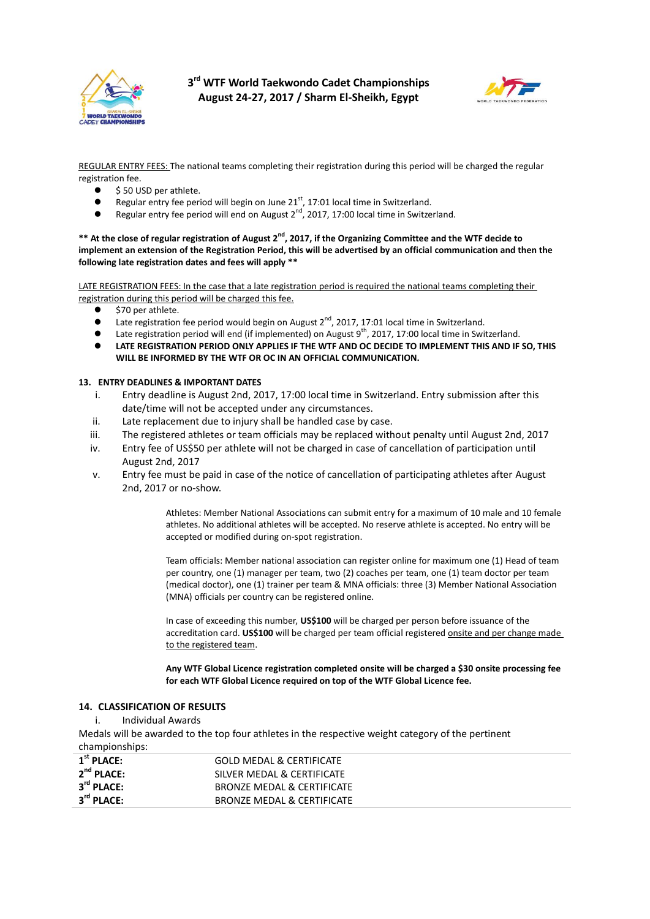



REGULAR ENTRY FEES: The national teams completing their registration during this period will be charged the regular registration fee.

- \$ 50 USD per athlete.
- **•** Regular entry fee period will begin on June  $21<sup>st</sup>$ , 17:01 local time in Switzerland.
- Regular entry fee period will end on August  $2^{nd}$ , 2017, 17:00 local time in Switzerland.

**\*\* At the close of regular registration of August 2nd, 2017, if the Organizing Committee and the WTF decide to implement an extension of the Registration Period, this will be advertised by an official communication and then the following late registration dates and fees will apply \*\***

LATE REGISTRATION FEES: In the case that a late registration period is required the national teams completing their registration during this period will be charged this fee.

- \$70 per athlete.
- Late registration fee period would begin on August  $2^{nd}$ , 2017, 17:01 local time in Switzerland.
- $\bullet$  Late registration period will end (if implemented) on August 9<sup>th</sup>, 2017, 17:00 local time in Switzerland.
- **LATE REGISTRATION PERIOD ONLY APPLIES IF THE WTF AND OC DECIDE TO IMPLEMENT THIS AND IF SO, THIS WILL BE INFORMED BY THE WTF OR OC IN AN OFFICIAL COMMUNICATION.**

#### **13. ENTRY DEADLINES & IMPORTANT DATES**

- i. Entry deadline is August 2nd, 2017, 17:00 local time in Switzerland. Entry submission after this date/time will not be accepted under any circumstances.
- ii. Late replacement due to injury shall be handled case by case.
- iii. The registered athletes or team officials may be replaced without penalty until August 2nd, 2017
- iv. Entry fee of US\$50 per athlete will not be charged in case of cancellation of participation until August 2nd, 2017
- v. Entry fee must be paid in case of the notice of cancellation of participating athletes after August 2nd, 2017 or no-show.

Athletes: Member National Associations can submit entry for a maximum of 10 male and 10 female athletes. No additional athletes will be accepted. No reserve athlete is accepted. No entry will be accepted or modified during on-spot registration.

Team officials: Member national association can register online for maximum one (1) Head of team per country, one (1) manager per team, two (2) coaches per team, one (1) team doctor per team (medical doctor), one (1) trainer per team & MNA officials: three (3) Member National Association (MNA) officials per country can be registered online.

In case of exceeding this number, **US\$100** will be charged per person before issuance of the accreditation card. **US\$100** will be charged per team official registered onsite and per change made to the registered team.

**Any WTF Global Licence registration completed onsite will be charged a \$30 onsite processing fee for each WTF Global Licence required on top of the WTF Global Licence fee.**

#### **14. CLASSIFICATION OF RESULTS**

i. Individual Awards

Medals will be awarded to the top four athletes in the respective weight category of the pertinent championships:

| $1st$ PLACE:           | <b>GOLD MEDAL &amp; CERTIFICATE</b>   |
|------------------------|---------------------------------------|
| $2^{nd}$ PLACE:        | SILVER MEDAL & CERTIFICATE            |
| $3^{\text{rd}}$ PLACE: | <b>BRONZE MEDAL &amp; CERTIFICATE</b> |
| 3 <sup>rd</sup> PLACE: | <b>BRONZE MEDAL &amp; CERTIFICATE</b> |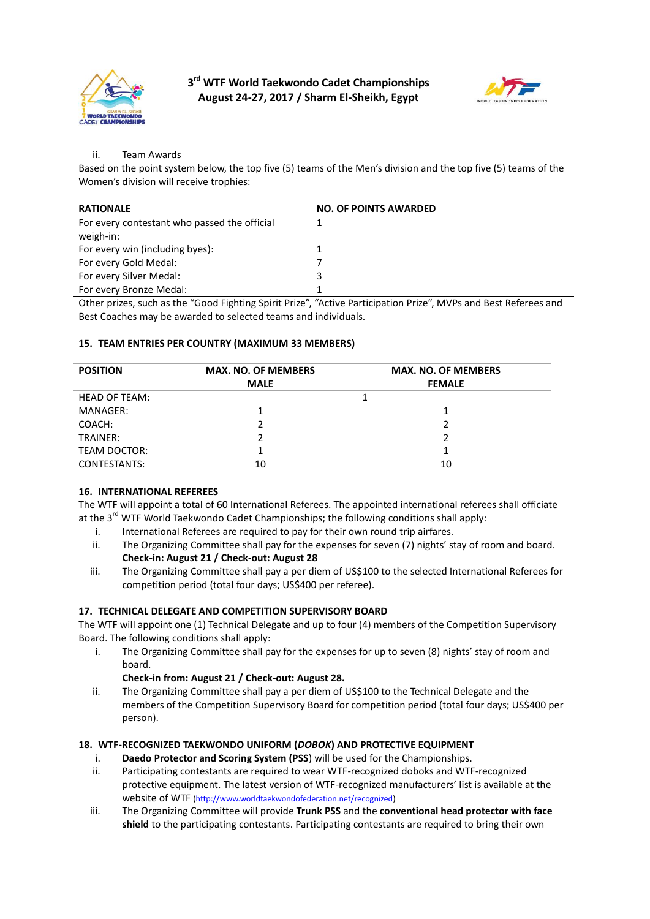



## ii. Team Awards

Based on the point system below, the top five (5) teams of the Men's division and the top five (5) teams of the Women's division will receive trophies:

| <b>RATIONALE</b>                             | <b>NO. OF POINTS AWARDED</b> |
|----------------------------------------------|------------------------------|
| For every contestant who passed the official |                              |
| weigh-in:                                    |                              |
| For every win (including byes):              |                              |
| For every Gold Medal:                        |                              |
| For every Silver Medal:                      | 3                            |
| For every Bronze Medal:                      |                              |
|                                              |                              |

Other prizes, such as the "Good Fighting Spirit Prize", "Active Participation Prize", MVPs and Best Referees and Best Coaches may be awarded to selected teams and individuals.

#### **15. TEAM ENTRIES PER COUNTRY (MAXIMUM 33 MEMBERS)**

| <b>POSITION</b>      | <b>MAX. NO. OF MEMBERS</b> | <b>MAX. NO. OF MEMBERS</b> |  |
|----------------------|----------------------------|----------------------------|--|
|                      | <b>MALE</b>                | <b>FEMALE</b>              |  |
| <b>HEAD OF TEAM:</b> |                            |                            |  |
| MANAGER:             |                            |                            |  |
| COACH:               |                            | 2                          |  |
| TRAINER:             |                            | າ                          |  |
| TEAM DOCTOR:         |                            |                            |  |
| <b>CONTESTANTS:</b>  | 10                         | 10                         |  |

## **16. INTERNATIONAL REFEREES**

The WTF will appoint a total of 60 International Referees. The appointed international referees shall officiate at the  $3^{rd}$  WTF World Taekwondo Cadet Championships; the following conditions shall apply:

- i. International Referees are required to pay for their own round trip airfares.
- ii. The Organizing Committee shall pay for the expenses for seven (7) nights' stay of room and board. **Check-in: August 21 / Check-out: August 28**
- iii. The Organizing Committee shall pay a per diem of US\$100 to the selected International Referees for competition period (total four days; US\$400 per referee).

#### **17. TECHNICAL DELEGATE AND COMPETITION SUPERVISORY BOARD**

The WTF will appoint one (1) Technical Delegate and up to four (4) members of the Competition Supervisory Board. The following conditions shall apply:

- i. The Organizing Committee shall pay for the expenses for up to seven (8) nights' stay of room and board.
	- **Check-in from: August 21 / Check-out: August 28.**
- ii. The Organizing Committee shall pay a per diem of US\$100 to the Technical Delegate and the members of the Competition Supervisory Board for competition period (total four days; US\$400 per person).

## **18. WTF-RECOGNIZED TAEKWONDO UNIFORM (***DOBOK***) AND PROTECTIVE EQUIPMENT**

- i. **Daedo Protector and Scoring System (PSS**) will be used for the Championships.
- ii. Participating contestants are required to wear WTF-recognized doboks and WTF-recognized protective equipment. The latest version of WTF-recognized manufacturers' list is available at the website of WTF (http://www.worldtaekwondofederation.net/recognized)
- iii. The Organizing Committee will provide **Trunk PSS** and the **conventional head protector with face shield** to the participating contestants. Participating contestants are required to bring their own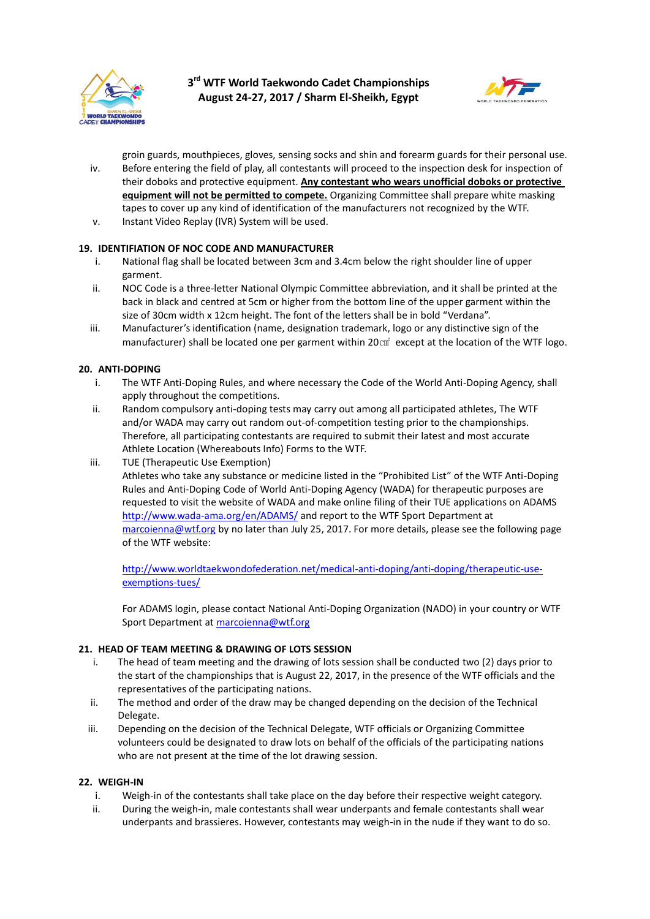



groin guards, mouthpieces, gloves, sensing socks and shin and forearm guards for their personal use. iv. Before entering the field of play, all contestants will proceed to the inspection desk for inspection of their doboks and protective equipment. **Any contestant who wears unofficial doboks or protective equipment will not be permitted to compete.** Organizing Committee shall prepare white masking tapes to cover up any kind of identification of the manufacturers not recognized by the WTF.

v. Instant Video Replay (IVR) System will be used.

## **19. IDENTIFIATION OF NOC CODE AND MANUFACTURER**

- i. National flag shall be located between 3cm and 3.4cm below the right shoulder line of upper garment.
- ii. NOC Code is a three-letter National Olympic Committee abbreviation, and it shall be printed at the back in black and centred at 5cm or higher from the bottom line of the upper garment within the size of 30cm width x 12cm height. The font of the letters shall be in bold "Verdana".
- iii. Manufacturer's identification (name, designation trademark, logo or any distinctive sign of the manufacturer) shall be located one per garment within 20㎠ except at the location of the WTF logo.

## **20. ANTI-DOPING**

- i. The WTF Anti-Doping Rules, and where necessary the Code of the World Anti-Doping Agency, shall apply throughout the competitions.
- ii. Random compulsory anti-doping tests may carry out among all participated athletes, The WTF and/or WADA may carry out random out-of-competition testing prior to the championships. Therefore, all participating contestants are required to submit their latest and most accurate Athlete Location (Whereabouts Info) Forms to the WTF.
- iii. TUE (Therapeutic Use Exemption)

Athletes who take any substance or medicine listed in the "Prohibited List" of the WTF Anti-Doping Rules and Anti-Doping Code of World Anti-Doping Agency (WADA) for therapeutic purposes are requested to visit the website of WADA and make online filing of their TUE applications on ADAMS http://www.wada-ama.org/en/ADAMS/ and report to the WTF Sport Department at marcoienna@wtf.org by no later than July 25, 2017. For more details, please see the following page of the WTF website:

http://www.worldtaekwondofederation.net/medical-anti-doping/anti-doping/therapeutic-useexemptions-tues/

For ADAMS login, please contact National Anti-Doping Organization (NADO) in your country or WTF Sport Department at marcoienna@wtf.org

#### **21. HEAD OF TEAM MEETING & DRAWING OF LOTS SESSION**

- i. The head of team meeting and the drawing of lots session shall be conducted two (2) days prior to the start of the championships that is August 22, 2017, in the presence of the WTF officials and the representatives of the participating nations.
- ii. The method and order of the draw may be changed depending on the decision of the Technical Delegate.
- iii. Depending on the decision of the Technical Delegate, WTF officials or Organizing Committee volunteers could be designated to draw lots on behalf of the officials of the participating nations who are not present at the time of the lot drawing session.

#### **22. WEIGH-IN**

- i. Weigh-in of the contestants shall take place on the day before their respective weight category.
- ii. During the weigh-in, male contestants shall wear underpants and female contestants shall wear underpants and brassieres. However, contestants may weigh-in in the nude if they want to do so.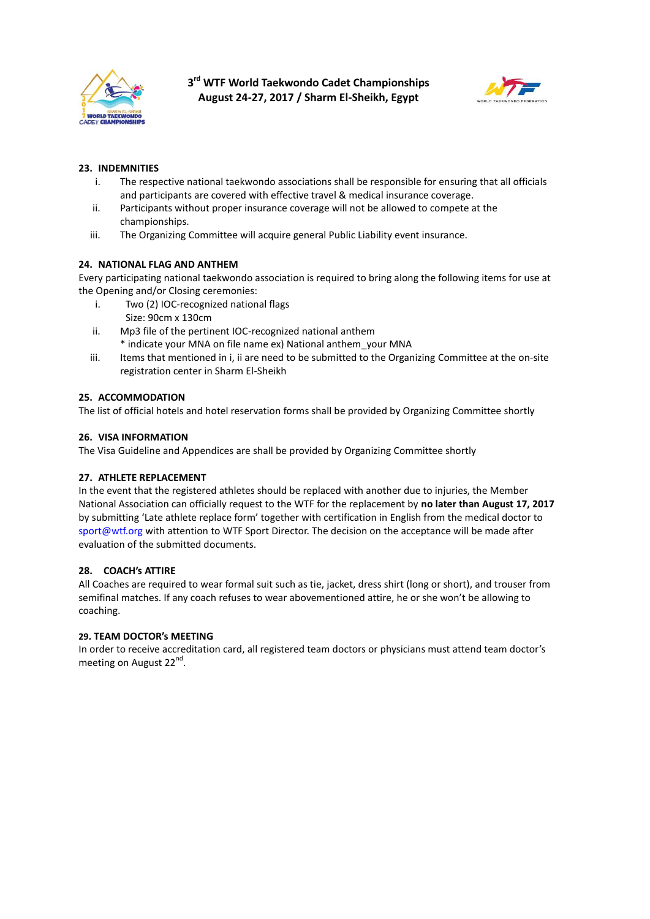



## **23. INDEMNITIES**

- i. The respective national taekwondo associations shall be responsible for ensuring that all officials and participants are covered with effective travel & medical insurance coverage.
- ii. Participants without proper insurance coverage will not be allowed to compete at the championships.
- iii. The Organizing Committee will acquire general Public Liability event insurance.

## **24. NATIONAL FLAG AND ANTHEM**

Every participating national taekwondo association is required to bring along the following items for use at the Opening and/or Closing ceremonies:

- i. Two (2) IOC-recognized national flags Size: 90cm x 130cm
- ii. Mp3 file of the pertinent IOC-recognized national anthem \* indicate your MNA on file name ex) National anthem\_your MNA
- iii. Items that mentioned in i, ii are need to be submitted to the Organizing Committee at the on-site registration center in Sharm El-Sheikh

## **25. ACCOMMODATION**

The list of official hotels and hotel reservation forms shall be provided by Organizing Committee shortly

## **26. VISA INFORMATION**

The Visa Guideline and Appendices are shall be provided by Organizing Committee shortly

## **27. ATHLETE REPLACEMENT**

In the event that the registered athletes should be replaced with another due to injuries, the Member National Association can officially request to the WTF for the replacement by **no later than August 17, 2017** by submitting 'Late athlete replace form' together with certification in English from the medical doctor to sport@wtf.org with attention to WTF Sport Director. The decision on the acceptance will be made after evaluation of the submitted documents.

## **28. COACH's ATTIRE**

All Coaches are required to wear formal suit such as tie, jacket, dress shirt (long or short), and trouser from semifinal matches. If any coach refuses to wear abovementioned attire, he or she won't be allowing to coaching.

## **29. TEAM DOCTOR's MEETING**

In order to receive accreditation card, all registered team doctors or physicians must attend team doctor's meeting on August 22<sup>nd</sup>.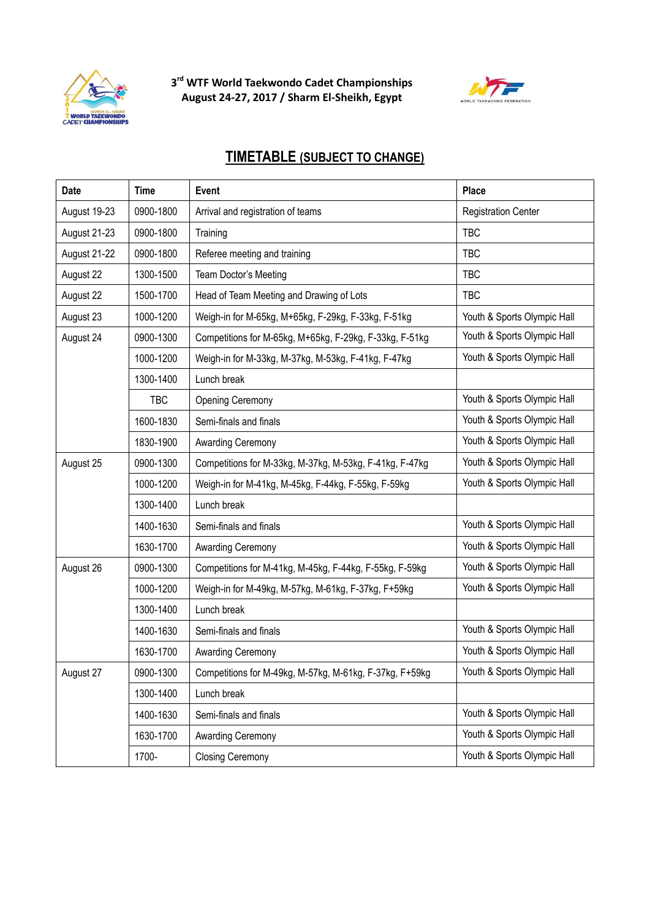



## **TIMETABLE (SUBJECT TO CHANGE)**

| Date         | <b>Time</b> | Event                                                           | Place                       |
|--------------|-------------|-----------------------------------------------------------------|-----------------------------|
| August 19-23 | 0900-1800   | Arrival and registration of teams<br><b>Registration Center</b> |                             |
| August 21-23 | 0900-1800   | Training                                                        | <b>TBC</b>                  |
| August 21-22 | 0900-1800   | Referee meeting and training                                    | <b>TBC</b>                  |
| August 22    | 1300-1500   | Team Doctor's Meeting                                           | <b>TBC</b>                  |
| August 22    | 1500-1700   | Head of Team Meeting and Drawing of Lots                        | <b>TBC</b>                  |
| August 23    | 1000-1200   | Weigh-in for M-65kg, M+65kg, F-29kg, F-33kg, F-51kg             | Youth & Sports Olympic Hall |
| August 24    | 0900-1300   | Competitions for M-65kg, M+65kg, F-29kg, F-33kg, F-51kg         | Youth & Sports Olympic Hall |
|              | 1000-1200   | Weigh-in for M-33kg, M-37kg, M-53kg, F-41kg, F-47kg             | Youth & Sports Olympic Hall |
|              | 1300-1400   | Lunch break                                                     |                             |
|              | <b>TBC</b>  | <b>Opening Ceremony</b>                                         | Youth & Sports Olympic Hall |
|              | 1600-1830   | Semi-finals and finals                                          | Youth & Sports Olympic Hall |
|              | 1830-1900   | Awarding Ceremony                                               | Youth & Sports Olympic Hall |
| August 25    | 0900-1300   | Competitions for M-33kg, M-37kg, M-53kg, F-41kg, F-47kg         | Youth & Sports Olympic Hall |
|              | 1000-1200   | Weigh-in for M-41kg, M-45kg, F-44kg, F-55kg, F-59kg             | Youth & Sports Olympic Hall |
|              | 1300-1400   | Lunch break                                                     |                             |
|              | 1400-1630   | Semi-finals and finals                                          | Youth & Sports Olympic Hall |
|              | 1630-1700   | Awarding Ceremony                                               | Youth & Sports Olympic Hall |
| August 26    | 0900-1300   | Competitions for M-41kg, M-45kg, F-44kg, F-55kg, F-59kg         | Youth & Sports Olympic Hall |
|              | 1000-1200   | Weigh-in for M-49kg, M-57kg, M-61kg, F-37kg, F+59kg             | Youth & Sports Olympic Hall |
|              | 1300-1400   | Lunch break                                                     |                             |
|              | 1400-1630   | Semi-finals and finals                                          | Youth & Sports Olympic Hall |
|              | 1630-1700   | Awarding Ceremony                                               | Youth & Sports Olympic Hall |
| August 27    | 0900-1300   | Competitions for M-49kg, M-57kg, M-61kg, F-37kg, F+59kg         | Youth & Sports Olympic Hall |
|              | 1300-1400   | Lunch break                                                     |                             |
|              | 1400-1630   | Semi-finals and finals                                          | Youth & Sports Olympic Hall |
|              | 1630-1700   | Awarding Ceremony                                               | Youth & Sports Olympic Hall |
|              | 1700-       | <b>Closing Ceremony</b>                                         | Youth & Sports Olympic Hall |